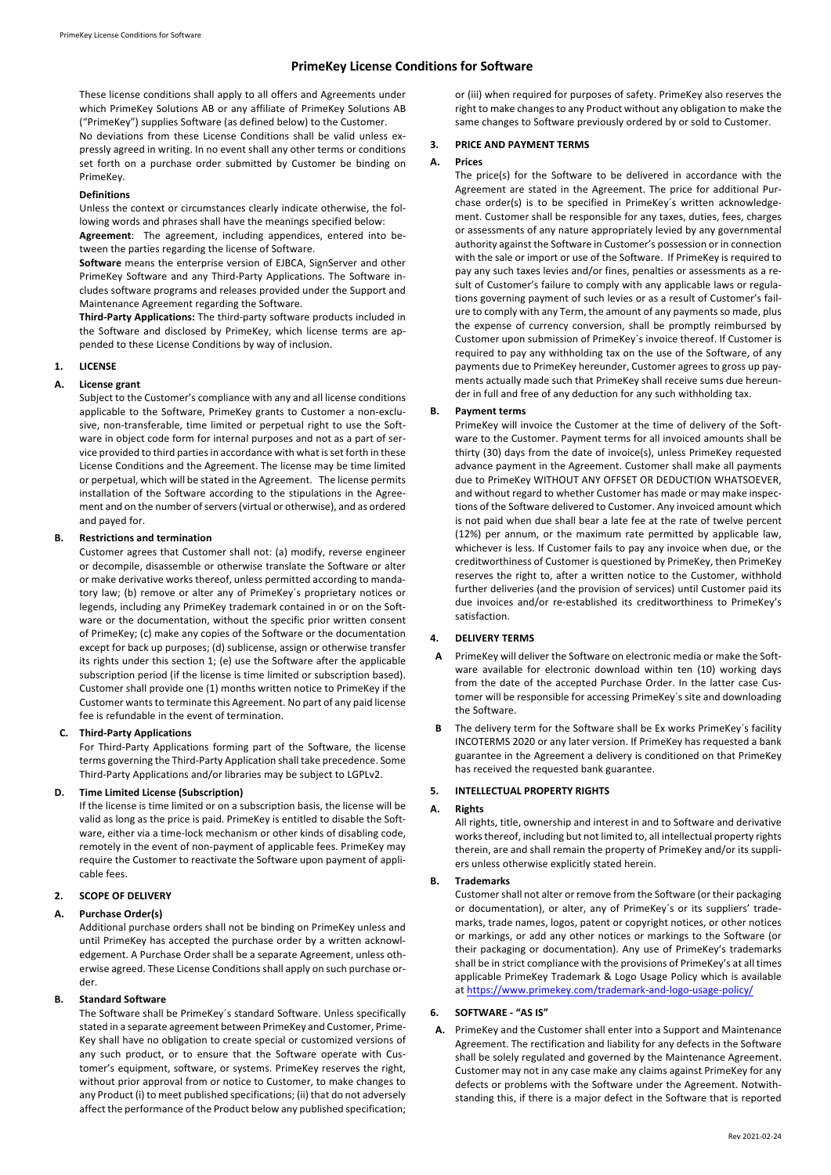# **PrimeKey License Conditions for Software**

These license conditions shall apply to all offers and Agreements under which PrimeKey Solutions AB or any affiliate of PrimeKey Solutions AB ("PrimeKey") supplies Software (as defined below) to the Customer.

No deviations from these License Conditions shall be valid unless expressly agreed in writing. In no event shall any other terms or conditions set forth on a purchase order submitted by Customer be binding on PrimeKey.

### **Definitions**

Unless the context or circumstances clearly indicate otherwise, the following words and phrases shall have the meanings specified below:

**Agreement**: The agreement, including appendices, entered into between the parties regarding the license of Software.

**Software** means the enterprise version of EJBCA, SignServer and other PrimeKey Software and any Third-Party Applications. The Software includes software programs and releases provided under the Support and Maintenance Agreement regarding the Software.

**Third-Party Applications:** The third-party software products included in the Software and disclosed by PrimeKey, which license terms are appended to these License Conditions by way of inclusion.

# **1. LICENSE**

# **A. License grant**

Subject to the Customer's compliance with any and all license conditions applicable to the Software, PrimeKey grants to Customer a non-exclusive, non-transferable, time limited or perpetual right to use the Software in object code form for internal purposes and not as a part of service provided to third partiesin accordance with what is set forth in these License Conditions and the Agreement. The license may be time limited or perpetual, which will be stated in the Agreement. The license permits installation of the Software according to the stipulations in the Agreement and on the number of servers (virtual or otherwise), and as ordered and payed for.

# **B. Restrictions and termination**

Customer agrees that Customer shall not: (a) modify, reverse engineer or decompile, disassemble or otherwise translate the Software or alter or make derivative works thereof, unless permitted according to mandatory law; (b) remove or alter any of PrimeKey´s proprietary notices or legends, including any PrimeKey trademark contained in or on the Software or the documentation, without the specific prior written consent of PrimeKey; (c) make any copies of the Software or the documentation except for back up purposes; (d) sublicense, assign or otherwise transfer its rights under this section 1; (e) use the Software after the applicable subscription period (if the license is time limited or subscription based). Customer shall provide one (1) months written notice to PrimeKey if the Customer wants to terminate this Agreement. No part of any paid license fee is refundable in the event of termination.

# **C. Third-Party Applications**

For Third-Party Applications forming part of the Software, the license terms governing the Third-Party Application shall take precedence. Some Third-Party Applications and/or libraries may be subject to LGPLv2.

# **D. Time Limited License (Subscription)**

If the license is time limited or on a subscription basis, the license will be valid as long as the price is paid. PrimeKey is entitled to disable the Software, either via a time-lock mechanism or other kinds of disabling code, remotely in the event of non-payment of applicable fees. PrimeKey may require the Customer to reactivate the Software upon payment of applicable fees.

## **2. SCOPE OF DELIVERY**

# **A. Purchase Order(s)**

Additional purchase orders shall not be binding on PrimeKey unless and until PrimeKey has accepted the purchase order by a written acknowledgement. A Purchase Order shall be a separate Agreement, unless otherwise agreed. These License Conditions shall apply on such purchase order.

### **B. Standard Software**

The Software shall be PrimeKey´s standard Software. Unless specifically stated in a separate agreement between PrimeKey and Customer, Prime-Key shall have no obligation to create special or customized versions of any such product, or to ensure that the Software operate with Customer's equipment, software, or systems. PrimeKey reserves the right, without prior approval from or notice to Customer, to make changes to any Product (i) to meet published specifications; (ii) that do not adversely affect the performance of the Product below any published specification;

or (iii) when required for purposes of safety. PrimeKey also reserves the right to make changes to any Product without any obligation to make the same changes to Software previously ordered by or sold to Customer.

# **3. PRICE AND PAYMENT TERMS**

# **A. Prices**

The price(s) for the Software to be delivered in accordance with the Agreement are stated in the Agreement. The price for additional Purchase order(s) is to be specified in PrimeKey´s written acknowledgement. Customer shall be responsible for any taxes, duties, fees, charges or assessments of any nature appropriately levied by any governmental authority against the Software in Customer's possession or in connection with the sale or import or use of the Software. If PrimeKey is required to pay any such taxes levies and/or fines, penalties or assessments as a result of Customer's failure to comply with any applicable laws or regulations governing payment of such levies or as a result of Customer's failure to comply with any Term, the amount of any payments so made, plus the expense of currency conversion, shall be promptly reimbursed by Customer upon submission of PrimeKey´s invoice thereof. If Customer is required to pay any withholding tax on the use of the Software, of any payments due to PrimeKey hereunder, Customer agrees to gross up payments actually made such that PrimeKey shall receive sums due hereunder in full and free of any deduction for any such withholding tax.

# **B. Payment terms**

PrimeKey will invoice the Customer at the time of delivery of the Software to the Customer. Payment terms for all invoiced amounts shall be thirty (30) days from the date of invoice(s), unless PrimeKey requested advance payment in the Agreement. Customer shall make all payments due to PrimeKey WITHOUT ANY OFFSET OR DEDUCTION WHATSOEVER, and without regard to whether Customer has made or may make inspections of the Software delivered to Customer. Any invoiced amount which is not paid when due shall bear a late fee at the rate of twelve percent (12%) per annum, or the maximum rate permitted by applicable law, whichever is less. If Customer fails to pay any invoice when due, or the creditworthiness of Customer is questioned by PrimeKey, then PrimeKey reserves the right to, after a written notice to the Customer, withhold further deliveries (and the provision of services) until Customer paid its due invoices and/or re-established its creditworthiness to PrimeKey's satisfaction.

# **4. DELIVERY TERMS**

- **A** PrimeKey will deliver the Software on electronic media or make the Software available for electronic download within ten (10) working days from the date of the accepted Purchase Order. In the latter case Customer will be responsible for accessing PrimeKey´s site and downloading the Software.
- The delivery term for the Software shall be Ex works PrimeKey's facility INCOTERMS 2020 or any later version. If PrimeKey has requested a bank guarantee in the Agreement a delivery is conditioned on that PrimeKey has received the requested bank guarantee.

### **5. INTELLECTUAL PROPERTY RIGHTS**

### **A. Rights**

All rights, title, ownership and interest in and to Software and derivative works thereof, including but not limited to, all intellectual property rights therein, are and shall remain the property of PrimeKey and/or its suppliers unless otherwise explicitly stated herein.

### **B. Trademarks**

Customer shall not alter or remove from the Software (or their packaging or documentation), or alter, any of PrimeKey´s or its suppliers' trademarks, trade names, logos, patent or copyright notices, or other notices or markings, or add any other notices or markings to the Software (or their packaging or documentation). Any use of PrimeKey's trademarks shall be in strict compliance with the provisions of PrimeKey's at all times applicable PrimeKey Trademark & Logo Usage Policy which is available at https://www.primekey.com/trademark-and-logo-usage-policy/

### **6. SOFTWARE - "AS IS"**

**A.** PrimeKey and the Customer shall enter into a Support and Maintenance Agreement. The rectification and liability for any defects in the Software shall be solely regulated and governed by the Maintenance Agreement. Customer may not in any case make any claims against PrimeKey for any defects or problems with the Software under the Agreement. Notwithstanding this, if there is a major defect in the Software that is reported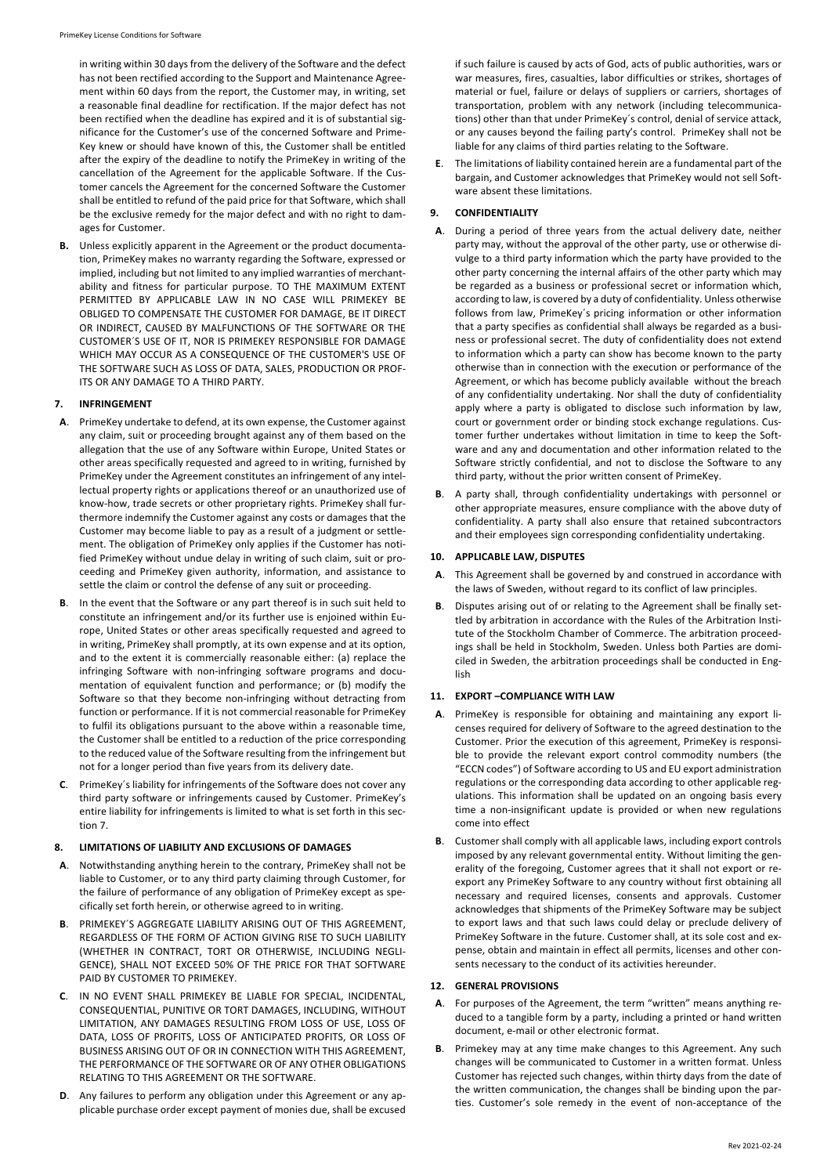in writing within 30 days from the delivery of the Software and the defect has not been rectified according to the Support and Maintenance Agreement within 60 days from the report, the Customer may, in writing, set a reasonable final deadline for rectification. If the major defect has not been rectified when the deadline has expired and it is of substantial significance for the Customer's use of the concerned Software and Prime-Key knew or should have known of this, the Customer shall be entitled after the expiry of the deadline to notify the PrimeKey in writing of the cancellation of the Agreement for the applicable Software. If the Customer cancels the Agreement for the concerned Software the Customer shall be entitled to refund of the paid price for that Software, which shall be the exclusive remedy for the major defect and with no right to damages for Customer.

**B.** Unless explicitly apparent in the Agreement or the product documentation, PrimeKey makes no warranty regarding the Software, expressed or implied, including but not limited to any implied warranties of merchantability and fitness for particular purpose. TO THE MAXIMUM EXTENT PERMITTED BY APPLICABLE LAW IN NO CASE WILL PRIMEKEY BE OBLIGED TO COMPENSATE THE CUSTOMER FOR DAMAGE, BE IT DIRECT OR INDIRECT, CAUSED BY MALFUNCTIONS OF THE SOFTWARE OR THE CUSTOMER´S USE OF IT, NOR IS PRIMEKEY RESPONSIBLE FOR DAMAGE WHICH MAY OCCUR AS A CONSEQUENCE OF THE CUSTOMER'S USE OF THE SOFTWARE SUCH AS LOSS OF DATA, SALES, PRODUCTION OR PROF-ITS OR ANY DAMAGE TO A THIRD PARTY.

# **7. INFRINGEMENT**

- **A**. PrimeKey undertake to defend, at its own expense, the Customer against any claim, suit or proceeding brought against any of them based on the allegation that the use of any Software within Europe, United States or other areas specifically requested and agreed to in writing, furnished by PrimeKey under the Agreement constitutes an infringement of any intellectual property rights or applications thereof or an unauthorized use of know-how, trade secrets or other proprietary rights. PrimeKey shall furthermore indemnify the Customer against any costs or damages that the Customer may become liable to pay as a result of a judgment or settlement. The obligation of PrimeKey only applies if the Customer has notified PrimeKey without undue delay in writing of such claim, suit or proceeding and PrimeKey given authority, information, and assistance to settle the claim or control the defense of any suit or proceeding.
- In the event that the Software or any part thereof is in such suit held to constitute an infringement and/or its further use is enjoined within Europe, United States or other areas specifically requested and agreed to in writing, PrimeKey shall promptly, at its own expense and at its option, and to the extent it is commercially reasonable either: (a) replace the infringing Software with non-infringing software programs and documentation of equivalent function and performance; or (b) modify the Software so that they become non-infringing without detracting from function or performance. If it is not commercial reasonable for PrimeKey to fulfil its obligations pursuant to the above within a reasonable time, the Customer shall be entitled to a reduction of the price corresponding to the reduced value of the Software resulting from the infringement but not for a longer period than five years from its delivery date.
- **C**. PrimeKey´s liability for infringements of the Software does not cover any third party software or infringements caused by Customer. PrimeKey's entire liability for infringements is limited to what is set forth in this section 7.

### **8. LIMITATIONS OF LIABILITY AND EXCLUSIONS OF DAMAGES**

- **A**. Notwithstanding anything herein to the contrary, PrimeKey shall not be liable to Customer, or to any third party claiming through Customer, for the failure of performance of any obligation of PrimeKey except as specifically set forth herein, or otherwise agreed to in writing.
- **B**. PRIMEKEY´S AGGREGATE LIABILITY ARISING OUT OF THIS AGREEMENT, REGARDLESS OF THE FORM OF ACTION GIVING RISE TO SUCH LIABILITY (WHETHER IN CONTRACT, TORT OR OTHERWISE, INCLUDING NEGLI-GENCE), SHALL NOT EXCEED 50% OF THE PRICE FOR THAT SOFTWARE PAID BY CUSTOMER TO PRIMEKEY.
- **C**. IN NO EVENT SHALL PRIMEKEY BE LIABLE FOR SPECIAL, INCIDENTAL, CONSEQUENTIAL, PUNITIVE OR TORT DAMAGES, INCLUDING, WITHOUT LIMITATION, ANY DAMAGES RESULTING FROM LOSS OF USE, LOSS OF DATA, LOSS OF PROFITS, LOSS OF ANTICIPATED PROFITS, OR LOSS OF BUSINESS ARISING OUT OF OR IN CONNECTION WITH THIS AGREEMENT, THE PERFORMANCE OF THE SOFTWARE OR OF ANY OTHER OBLIGATIONS RELATING TO THIS AGREEMENT OR THE SOFTWARE.
- **D**. Any failures to perform any obligation under this Agreement or any applicable purchase order except payment of monies due, shall be excused

if such failure is caused by acts of God, acts of public authorities, wars or war measures, fires, casualties, labor difficulties or strikes, shortages of material or fuel, failure or delays of suppliers or carriers, shortages of transportation, problem with any network (including telecommunications) other than that under PrimeKey´s control, denial of service attack, or any causes beyond the failing party's control. PrimeKey shall not be liable for any claims of third parties relating to the Software.

**E**. The limitations of liability contained herein are a fundamental part of the bargain, and Customer acknowledges that PrimeKey would not sell Software absent these limitations.

# **9. CONFIDENTIALITY**

- **A**. During a period of three years from the actual delivery date, neither party may, without the approval of the other party, use or otherwise divulge to a third party information which the party have provided to the other party concerning the internal affairs of the other party which may be regarded as a business or professional secret or information which, according to law, is covered by a duty of confidentiality. Unless otherwise follows from law, PrimeKey´s pricing information or other information that a party specifies as confidential shall always be regarded as a business or professional secret. The duty of confidentiality does not extend to information which a party can show has become known to the party otherwise than in connection with the execution or performance of the Agreement, or which has become publicly available without the breach of any confidentiality undertaking. Nor shall the duty of confidentiality apply where a party is obligated to disclose such information by law, court or government order or binding stock exchange regulations. Customer further undertakes without limitation in time to keep the Software and any and documentation and other information related to the Software strictly confidential, and not to disclose the Software to any third party, without the prior written consent of PrimeKey.
- **B**. A party shall, through confidentiality undertakings with personnel or other appropriate measures, ensure compliance with the above duty of confidentiality. A party shall also ensure that retained subcontractors and their employees sign corresponding confidentiality undertaking.

# **10. APPLICABLE LAW, DISPUTES**

- **A**. This Agreement shall be governed by and construed in accordance with the laws of Sweden, without regard to its conflict of law principles.
- **B**. Disputes arising out of or relating to the Agreement shall be finally settled by arbitration in accordance with the Rules of the Arbitration Institute of the Stockholm Chamber of Commerce. The arbitration proceedings shall be held in Stockholm, Sweden. Unless both Parties are domiciled in Sweden, the arbitration proceedings shall be conducted in English

# **11. EXPORT –COMPLIANCE WITH LAW**

- **A**. PrimeKey is responsible for obtaining and maintaining any export licenses required for delivery of Software to the agreed destination to the Customer. Prior the execution of this agreement, PrimeKey is responsible to provide the relevant export control commodity numbers (the "ECCN codes") of Software according to US and EU export administration regulations or the corresponding data according to other applicable regulations. This information shall be updated on an ongoing basis every time a non-insignificant update is provided or when new regulations come into effect
- **B**. Customer shall comply with all applicable laws, including export controls imposed by any relevant governmental entity. Without limiting the generality of the foregoing, Customer agrees that it shall not export or reexport any PrimeKey Software to any country without first obtaining all necessary and required licenses, consents and approvals. Customer acknowledges that shipments of the PrimeKey Software may be subject to export laws and that such laws could delay or preclude delivery of PrimeKey Software in the future. Customer shall, at its sole cost and expense, obtain and maintain in effect all permits, licenses and other consents necessary to the conduct of its activities hereunder.

### **12. GENERAL PROVISIONS**

- **A**. For purposes of the Agreement, the term "written" means anything reduced to a tangible form by a party, including a printed or hand written document, e-mail or other electronic format.
- **B**. Primekey may at any time make changes to this Agreement. Any such changes will be communicated to Customer in a written format. Unless Customer has rejected such changes, within thirty days from the date of the written communication, the changes shall be binding upon the parties. Customer's sole remedy in the event of non-acceptance of the